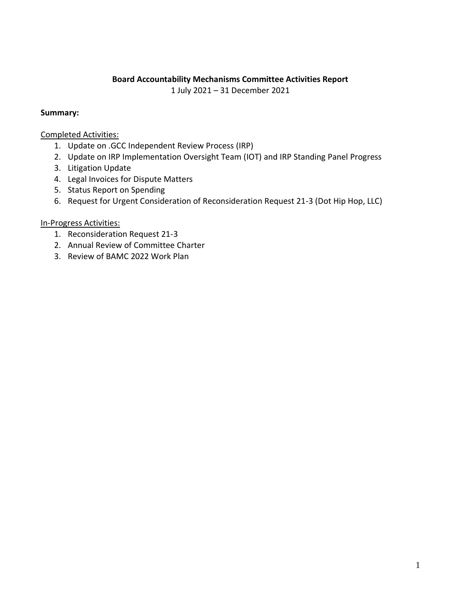### **Board Accountability Mechanisms Committee Activities Report**

1 July 2021 – 31 December 2021

### **Summary:**

Completed Activities:

- 1. Update on .GCC Independent Review Process (IRP)
- 2. Update on IRP Implementation Oversight Team (IOT) and IRP Standing Panel Progress
- 3. Litigation Update
- 4. Legal Invoices for Dispute Matters
- 5. Status Report on Spending
- 6. Request for Urgent Consideration of Reconsideration Request 21-3 (Dot Hip Hop, LLC)

### In-Progress Activities:

- 1. Reconsideration Request 21-3
- 2. Annual Review of Committee Charter
- 3. Review of BAMC 2022 Work Plan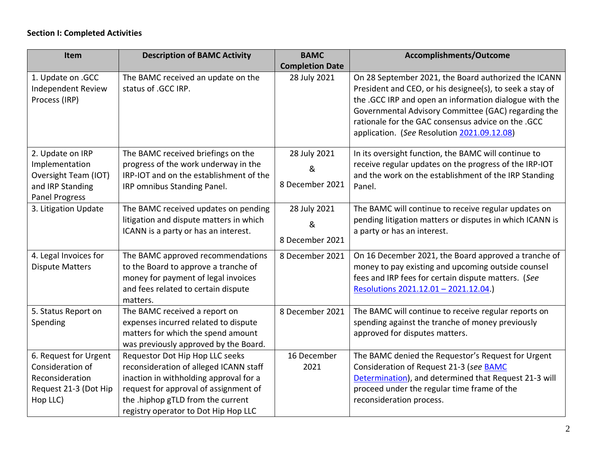## **Section I: Completed Activities**

| Item                      | <b>Description of BAMC Activity</b>     | <b>BAMC</b>            | Accomplishments/Outcome                                  |  |
|---------------------------|-----------------------------------------|------------------------|----------------------------------------------------------|--|
|                           |                                         | <b>Completion Date</b> |                                                          |  |
| 1. Update on .GCC         | The BAMC received an update on the      | 28 July 2021           | On 28 September 2021, the Board authorized the ICANN     |  |
| <b>Independent Review</b> | status of .GCC IRP.                     |                        | President and CEO, or his designee(s), to seek a stay of |  |
| Process (IRP)             |                                         |                        | the .GCC IRP and open an information dialogue with the   |  |
|                           |                                         |                        | Governmental Advisory Committee (GAC) regarding the      |  |
|                           |                                         |                        | rationale for the GAC consensus advice on the .GCC       |  |
|                           |                                         |                        | application. (See Resolution 2021.09.12.08)              |  |
| 2. Update on IRP          | The BAMC received briefings on the      | 28 July 2021           | In its oversight function, the BAMC will continue to     |  |
| Implementation            | progress of the work underway in the    | &                      | receive regular updates on the progress of the IRP-IOT   |  |
| Oversight Team (IOT)      | IRP-IOT and on the establishment of the |                        | and the work on the establishment of the IRP Standing    |  |
| and IRP Standing          | IRP omnibus Standing Panel.             | 8 December 2021        | Panel.                                                   |  |
| <b>Panel Progress</b>     |                                         |                        |                                                          |  |
| 3. Litigation Update      | The BAMC received updates on pending    | 28 July 2021           | The BAMC will continue to receive regular updates on     |  |
|                           | litigation and dispute matters in which | &                      | pending litigation matters or disputes in which ICANN is |  |
|                           | ICANN is a party or has an interest.    | 8 December 2021        | a party or has an interest.                              |  |
|                           |                                         |                        |                                                          |  |
| 4. Legal Invoices for     | The BAMC approved recommendations       | 8 December 2021        | On 16 December 2021, the Board approved a tranche of     |  |
| <b>Dispute Matters</b>    | to the Board to approve a tranche of    |                        | money to pay existing and upcoming outside counsel       |  |
|                           | money for payment of legal invoices     |                        | fees and IRP fees for certain dispute matters. (See      |  |
|                           | and fees related to certain dispute     |                        | Resolutions 2021.12.01 - 2021.12.04.)                    |  |
|                           | matters.                                |                        |                                                          |  |
| 5. Status Report on       | The BAMC received a report on           | 8 December 2021        | The BAMC will continue to receive regular reports on     |  |
| Spending                  | expenses incurred related to dispute    |                        | spending against the tranche of money previously         |  |
|                           | matters for which the spend amount      |                        | approved for disputes matters.                           |  |
|                           | was previously approved by the Board.   |                        |                                                          |  |
| 6. Request for Urgent     | Requestor Dot Hip Hop LLC seeks         | 16 December            | The BAMC denied the Requestor's Request for Urgent       |  |
| Consideration of          | reconsideration of alleged ICANN staff  | 2021                   | Consideration of Request 21-3 (see BAMC                  |  |
| Reconsideration           | inaction in withholding approval for a  |                        | Determination), and determined that Request 21-3 will    |  |
| Request 21-3 (Dot Hip     | request for approval of assignment of   |                        | proceed under the regular time frame of the              |  |
| Hop LLC)                  | the .hiphop gTLD from the current       |                        | reconsideration process.                                 |  |
|                           | registry operator to Dot Hip Hop LLC    |                        |                                                          |  |